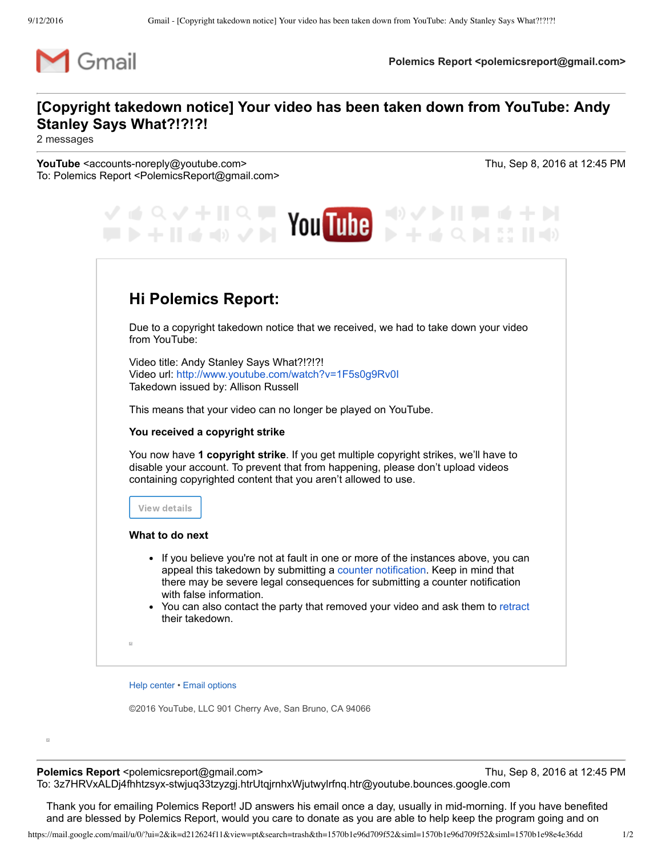

**Polemics Report <polemicsreport@gmail.com>** 

## **[Copyright takedown notice] Your video has been taken down from YouTube: Andy Stanley Says What?!?!?!**

2 messages

**YouTube** <accounts-noreply@youtube.com> Thu, Sep 8, 2016 at 12:45 PM To: Polemics Report <PolemicsReport@gmail.com>

| འ✓+Ⅱ<br><b>Strategy</b> You Tube<br>十 II ( ( ( )                                                                                                                                                                                                                                                                                                                                      |
|---------------------------------------------------------------------------------------------------------------------------------------------------------------------------------------------------------------------------------------------------------------------------------------------------------------------------------------------------------------------------------------|
| <b>Hi Polemics Report:</b>                                                                                                                                                                                                                                                                                                                                                            |
| Due to a copyright takedown notice that we received, we had to take down your video<br>from YouTube:                                                                                                                                                                                                                                                                                  |
| Video title: Andy Stanley Says What?!?!?!<br>Video url: http://www.youtube.com/watch?v=1F5s0g9Rv0I<br>Takedown issued by: Allison Russell                                                                                                                                                                                                                                             |
| This means that your video can no longer be played on YouTube.                                                                                                                                                                                                                                                                                                                        |
| You received a copyright strike                                                                                                                                                                                                                                                                                                                                                       |
| You now have 1 copyright strike. If you get multiple copyright strikes, we'll have to<br>disable your account. To prevent that from happening, please don't upload videos<br>containing copyrighted content that you aren't allowed to use.                                                                                                                                           |
| View details                                                                                                                                                                                                                                                                                                                                                                          |
| What to do next                                                                                                                                                                                                                                                                                                                                                                       |
| • If you believe you're not at fault in one or more of the instances above, you can<br>appeal this takedown by submitting a counter notification. Keep in mind that<br>there may be severe legal consequences for submitting a counter notification<br>with false information.<br>• You can also contact the party that removed your video and ask them to retract<br>their takedown. |
| $\overline{\omega}$                                                                                                                                                                                                                                                                                                                                                                   |

Help [center](http://support.google.com/youtube/?hl=en) • Email [options](https://www.youtube.com/attribution_link?noapp=1&a=kdlNm4_Do88&u=/account_notifications%3Ffeature%3Dem-)

©2016 YouTube, LLC 901 Cherry Ave, San Bruno, CA 94066

 $\overline{\omega}$ 

**Polemics Report** <polemicsreport@gmail.com> Thu, Sep 8, 2016 at 12:45 PM To: 3z7HRVxALDj4fhhtzsyx-stwjuq33tzyzgj.htrUtqjrnhxWjutwylrfnq.htr@youtube.bounces.google.com

Thank you for emailing Polemics Report! JD answers his email once a day, usually in mid-morning. If you have benefited and are blessed by Polemics Report, would you care to donate as you are able to help keep the program going and on